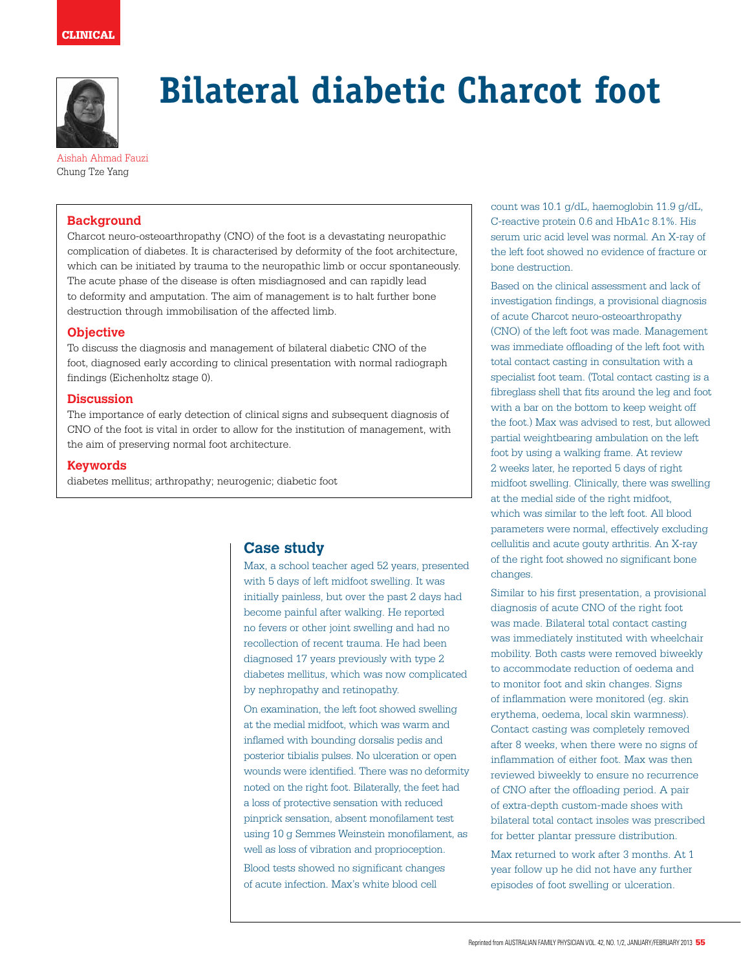

# **Bilateral diabetic Charcot foot**

Aishah Ahmad Fauzi Chung Tze Yang

## **Background**

Charcot neuro-osteoarthropathy (CNO) of the foot is a devastating neuropathic complication of diabetes. It is characterised by deformity of the foot architecture, which can be initiated by trauma to the neuropathic limb or occur spontaneously. The acute phase of the disease is often misdiagnosed and can rapidly lead to deformity and amputation. The aim of management is to halt further bone destruction through immobilisation of the affected limb.

## **Objective**

To discuss the diagnosis and management of bilateral diabetic CNO of the foot, diagnosed early according to clinical presentation with normal radiograph findings (Eichenholtz stage 0).

#### **Discussion**

The importance of early detection of clinical signs and subsequent diagnosis of CNO of the foot is vital in order to allow for the institution of management, with the aim of preserving normal foot architecture.

#### **Keywords**

diabetes mellitus; arthropathy; neurogenic; diabetic foot

# **Case study**

Max, a school teacher aged 52 years, presented with 5 days of left midfoot swelling. It was initially painless, but over the past 2 days had become painful after walking. He reported no fevers or other joint swelling and had no recollection of recent trauma. He had been diagnosed 17 years previously with type 2 diabetes mellitus, which was now complicated by nephropathy and retinopathy.

On examination, the left foot showed swelling at the medial midfoot, which was warm and inflamed with bounding dorsalis pedis and posterior tibialis pulses. No ulceration or open wounds were identified. There was no deformity noted on the right foot. Bilaterally, the feet had a loss of protective sensation with reduced pinprick sensation, absent monofilament test using 10 g Semmes Weinstein monofilament, as well as loss of vibration and proprioception. Blood tests showed no significant changes of acute infection. Max's white blood cell

count was 10.1 g/dL, haemoglobin 11.9 g/dL, C-reactive protein 0.6 and HbA1c 8.1%. His serum uric acid level was normal. An X-ray of the left foot showed no evidence of fracture or bone destruction.

Based on the clinical assessment and lack of investigation findings, a provisional diagnosis of acute Charcot neuro-osteoarthropathy (CNO) of the left foot was made. Management was immediate offloading of the left foot with total contact casting in consultation with a specialist foot team. (Total contact casting is a fibreglass shell that fits around the leg and foot with a bar on the bottom to keep weight off the foot.) Max was advised to rest, but allowed partial weightbearing ambulation on the left foot by using a walking frame. At review 2 weeks later, he reported 5 days of right midfoot swelling. Clinically, there was swelling at the medial side of the right midfoot, which was similar to the left foot. All blood parameters were normal, effectively excluding cellulitis and acute gouty arthritis. An X-ray of the right foot showed no significant bone changes.

Similar to his first presentation, a provisional diagnosis of acute CNO of the right foot was made. Bilateral total contact casting was immediately instituted with wheelchair mobility. Both casts were removed biweekly to accommodate reduction of oedema and to monitor foot and skin changes. Signs of inflammation were monitored (eg. skin erythema, oedema, local skin warmness). Contact casting was completely removed after 8 weeks, when there were no signs of inflammation of either foot. Max was then reviewed biweekly to ensure no recurrence of CNO after the offloading period. A pair of extra-depth custom-made shoes with bilateral total contact insoles was prescribed for better plantar pressure distribution.

Max returned to work after 3 months. At 1 year follow up he did not have any further episodes of foot swelling or ulceration.